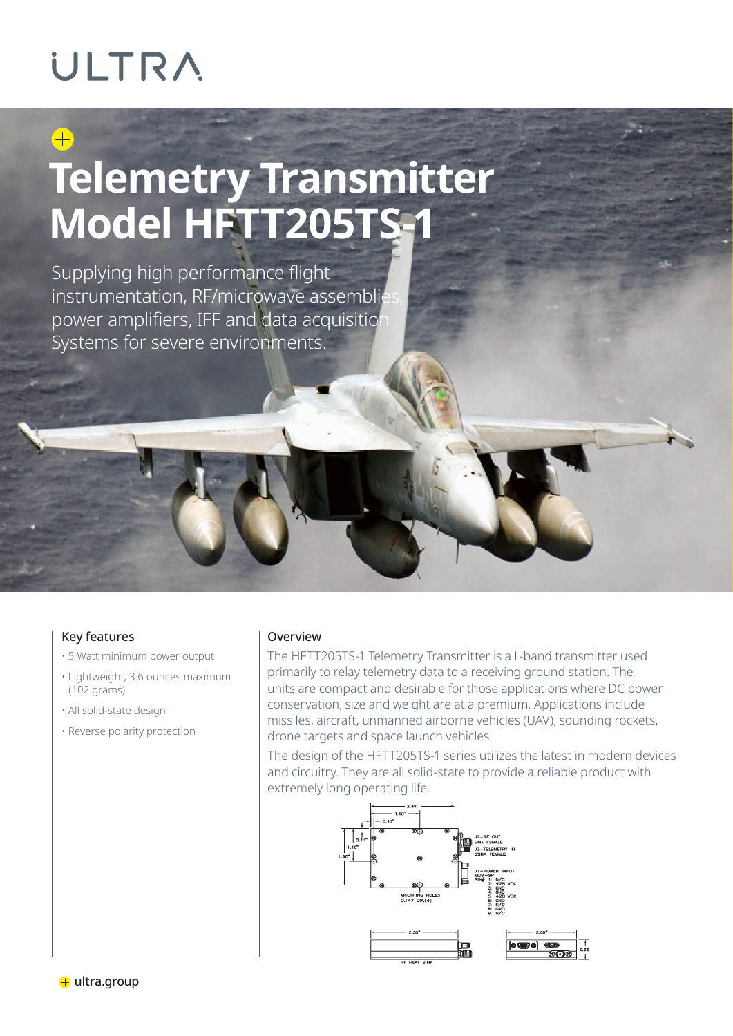### **ULTRA**

## **Telemetry Transmitter Model HFTT205TS-1**

Supplying high performance flight instrumentation, RF/microwave assemblies power amplifiers, IFF and data acquisition Systems for severe environments.

### Key features

- 5 Watt minimum power output
- Lightweight, 3.6 ounces maximum (102 grams)
- All solid-state design
- Reverse polarity protection

### Overview

The HFTT205TS-1 Telemetry Transmitter is a L-band transmitter used primarily to relay telemetry data to a receiving ground station. The units are compact and desirable for those applications where DC power conservation, size and weight are at a premium. Applications include missiles, aircraft, unmanned airborne vehicles (UAV), sounding rockets, drone targets and space launch vehicles.

The design of the HFTT205TS-1 series utilizes the latest in modern devices and circuitry. They are all solid-state to provide a reliable product with extremely long operating life.